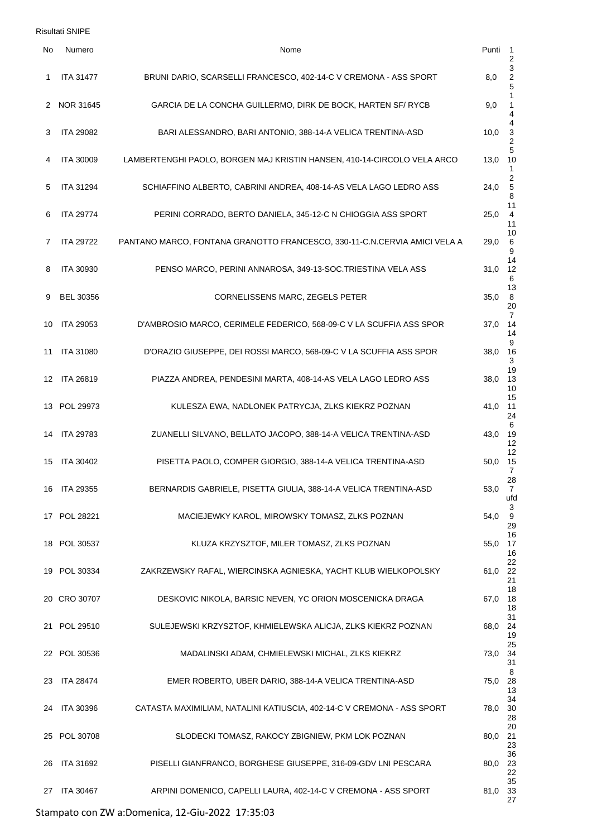Risultati SNIPE

| No | Numero           | Nome                                                                      | Punti   | -1<br>$\overline{2}$                           |
|----|------------------|---------------------------------------------------------------------------|---------|------------------------------------------------|
| 1  | <b>ITA 31477</b> | BRUNI DARIO, SCARSELLI FRANCESCO, 402-14-C V CREMONA - ASS SPORT          | 8,0     | $\ensuremath{\mathsf{3}}$<br>$\frac{2}{5}$     |
|    | 2 NOR 31645      | GARCIA DE LA CONCHA GUILLERMO, DIRK DE BOCK, HARTEN SF/ RYCB              | 9,0     | $\mathbf{1}$<br>$\mathbf{1}$<br>4              |
| 3  | <b>ITA 29082</b> | BARI ALESSANDRO, BARI ANTONIO, 388-14-A VELICA TRENTINA-ASD               | 10,0    | 4<br>$\frac{3}{2}$                             |
| 4  | ITA 30009        | LAMBERTENGHI PAOLO, BORGEN MAJ KRISTIN HANSEN, 410-14-CIRCOLO VELA ARCO   | 13,0    | 5<br>10<br>$\mathbf{1}$                        |
| 5  | <b>ITA 31294</b> | SCHIAFFINO ALBERTO, CABRINI ANDREA, 408-14-AS VELA LAGO LEDRO ASS         | 24,0    | $\overline{\mathbf{c}}$<br>$\overline{5}$<br>8 |
| 6  | <b>ITA 29774</b> | PERINI CORRADO, BERTO DANIELA, 345-12-C N CHIOGGIA ASS SPORT              | 25,0    | 11<br>4<br>11                                  |
| 7  | <b>ITA 29722</b> | PANTANO MARCO, FONTANA GRANOTTO FRANCESCO, 330-11-C.N.CERVIA AMICI VELA A | 29,0    | 10<br>$\,6$<br>9                               |
| 8  | <b>ITA 30930</b> | PENSO MARCO, PERINI ANNAROSA, 349-13-SOC.TRIESTINA VELA ASS               | 31,0    | 14<br>12<br>6                                  |
| 9  | <b>BEL 30356</b> | CORNELISSENS MARC, ZEGELS PETER                                           | 35,0    | 13<br>8<br>20                                  |
| 10 | <b>ITA 29053</b> | D'AMBROSIO MARCO, CERIMELE FEDERICO, 568-09-C V LA SCUFFIA ASS SPOR       | 37,0    | 7<br>14<br>14                                  |
| 11 | <b>ITA 31080</b> | D'ORAZIO GIUSEPPE, DEI ROSSI MARCO, 568-09-C V LA SCUFFIA ASS SPOR        | 38,0    | 9<br>16<br>3                                   |
| 12 | <b>ITA 26819</b> | PIAZZA ANDREA, PENDESINI MARTA, 408-14-AS VELA LAGO LEDRO ASS             | 38,0    | 19<br>13<br>10                                 |
| 13 | POL 29973        | KULESZA EWA, NADLONEK PATRYCJA, ZLKS KIEKRZ POZNAN                        | 41,0    | 15<br>11<br>24                                 |
| 14 | <b>ITA 29783</b> | ZUANELLI SILVANO, BELLATO JACOPO, 388-14-A VELICA TRENTINA-ASD            | 43,0    | 6<br>19<br>12                                  |
| 15 | <b>ITA 30402</b> | PISETTA PAOLO, COMPER GIORGIO, 388-14-A VELICA TRENTINA-ASD               | 50,0    | 12<br>15<br>7                                  |
|    | 16 ITA 29355     | BERNARDIS GABRIELE, PISETTA GIULIA, 388-14-A VELICA TRENTINA-ASD          | 53,0    | 28<br>$\overline{7}$<br>ufd                    |
|    | 17 POL 28221     | MACIEJEWKY KAROL, MIROWSKY TOMASZ, ZLKS POZNAN                            | 54,0    | 3<br>9<br>29                                   |
|    | 18 POL 30537     | KLUZA KRZYSZTOF, MILER TOMASZ, ZLKS POZNAN                                | 55,0    | 16<br>17<br>16                                 |
|    | 19 POL 30334     | ZAKRZEWSKY RAFAL, WIERCINSKA AGNIESKA, YACHT KLUB WIELKOPOLSKY            | 61,0 22 | 22<br>21                                       |
|    | 20 CRO 30707     | DESKOVIC NIKOLA, BARSIC NEVEN, YC ORION MOSCENICKA DRAGA                  | 67,0    | 18<br>18<br>18                                 |
|    | 21 POL 29510     | SULEJEWSKI KRZYSZTOF, KHMIELEWSKA ALICJA, ZLKS KIEKRZ POZNAN              | 68,0    | 31<br>-24<br>19                                |
|    | 22 POL 30536     | MADALINSKI ADAM, CHMIELEWSKI MICHAL, ZLKS KIEKRZ                          | 73,0    | 25<br>34<br>31                                 |
|    | 23 ITA 28474     | EMER ROBERTO, UBER DARIO, 388-14-A VELICA TRENTINA-ASD                    | 75,0    | 8<br>28<br>13                                  |
| 24 | <b>ITA 30396</b> | CATASTA MAXIMILIAM, NATALINI KATIUSCIA, 402-14-C V CREMONA - ASS SPORT    | 78,0    | 34<br>30<br>28                                 |
|    | 25 POL 30708     | SLODECKI TOMASZ, RAKOCY ZBIGNIEW, PKM LOK POZNAN                          | 80,0    | 20<br>21<br>23                                 |
| 26 | <b>ITA 31692</b> | PISELLI GIANFRANCO, BORGHESE GIUSEPPE, 316-09-GDV LNI PESCARA             | 80,0    | 36<br>23<br>22                                 |
| 27 | <b>ITA 30467</b> | ARPINI DOMENICO, CAPELLI LAURA, 402-14-C V CREMONA - ASS SPORT            | 81,0 33 | 35<br>27                                       |

Stampato con ZW a:Domenica, 12-Giu-2022 17:35:03